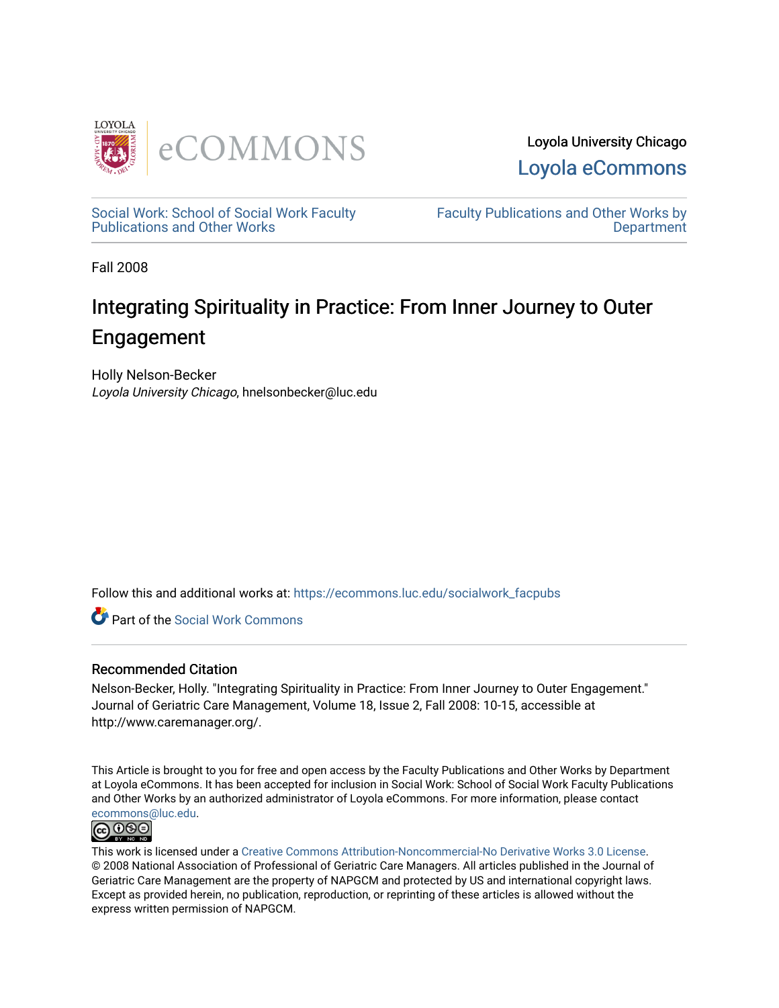

Loyola University Chicago [Loyola eCommons](https://ecommons.luc.edu/) 

[Social Work: School of Social Work Faculty](https://ecommons.luc.edu/socialwork_facpubs)  [Publications and Other Works](https://ecommons.luc.edu/socialwork_facpubs) 

[Faculty Publications and Other Works by](https://ecommons.luc.edu/faculty)  **Department** 

Fall 2008

# Integrating Spirituality in Practice: From Inner Journey to Outer Engagement

Holly Nelson-Becker Loyola University Chicago, hnelsonbecker@luc.edu

Follow this and additional works at: [https://ecommons.luc.edu/socialwork\\_facpubs](https://ecommons.luc.edu/socialwork_facpubs?utm_source=ecommons.luc.edu%2Fsocialwork_facpubs%2F21&utm_medium=PDF&utm_campaign=PDFCoverPages) 

Part of the [Social Work Commons](http://network.bepress.com/hgg/discipline/713?utm_source=ecommons.luc.edu%2Fsocialwork_facpubs%2F21&utm_medium=PDF&utm_campaign=PDFCoverPages)

# Recommended Citation

Nelson-Becker, Holly. "Integrating Spirituality in Practice: From Inner Journey to Outer Engagement." Journal of Geriatric Care Management, Volume 18, Issue 2, Fall 2008: 10-15, accessible at http://www.caremanager.org/.

This Article is brought to you for free and open access by the Faculty Publications and Other Works by Department at Loyola eCommons. It has been accepted for inclusion in Social Work: School of Social Work Faculty Publications and Other Works by an authorized administrator of Loyola eCommons. For more information, please contact [ecommons@luc.edu](mailto:ecommons@luc.edu).



This work is licensed under a [Creative Commons Attribution-Noncommercial-No Derivative Works 3.0 License.](https://creativecommons.org/licenses/by-nc-nd/3.0/) © 2008 National Association of Professional of Geriatric Care Managers. All articles published in the Journal of Geriatric Care Management are the property of NAPGCM and protected by US and international copyright laws. Except as provided herein, no publication, reproduction, or reprinting of these articles is allowed without the express written permission of NAPGCM.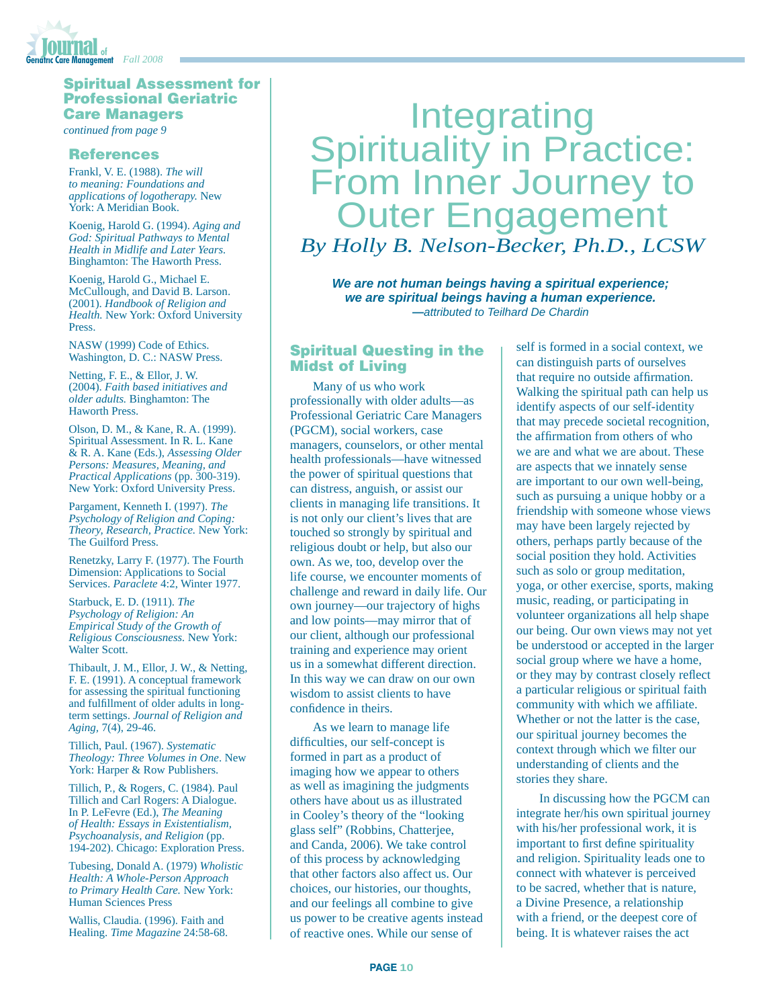

### Spiritual Assessment for Professional Geriatric Care Managers

*continued from page 9*

#### References

Frankl, V. E. (1988). *The will to meaning: Foundations and applications of logotherapy.* New York: A Meridian Book.

Koenig, Harold G. (1994). *Aging and God: Spiritual Pathways to Mental Health in Midlife and Later Years.* Binghamton: The Haworth Press.

Koenig, Harold G., Michael E. McCullough, and David B. Larson. (2001). *Handbook of Religion and Health.* New York: Oxford University **Press**.

NASW (1999) Code of Ethics. Washington, D. C.: NASW Press.

Netting, F. E., & Ellor, J. W. (2004). *Faith based initiatives and older adults.* Binghamton: The Haworth Press.

Olson, D. M., & Kane, R. A. (1999). Spiritual Assessment. In R. L. Kane & R. A. Kane (Eds.), *Assessing Older Persons: Measures, Meaning, and Practical Applications* (pp. 300-319). New York: Oxford University Press.

Pargament, Kenneth I. (1997). *The Psychology of Religion and Coping: Theory, Research, Practice.* New York: The Guilford Press.

Renetzky, Larry F. (1977). The Fourth Dimension: Applications to Social Services. *Paraclete* 4:2, Winter 1977.

Starbuck, E. D. (1911). *The Psychology of Religion: An Empirical Study of the Growth of Religious Consciousness.* New York: Walter Scott.

Thibault, J. M., Ellor, J. W., & Netting, F. E. (1991). A conceptual framework for assessing the spiritual functioning and fulfillment of older adults in longterm settings. *Journal of Religion and Aging,* 7(4), 29-46.

Tillich, Paul. (1967). *Systematic Theology: Three Volumes in One*. New York: Harper & Row Publishers.

Tillich, P., & Rogers, C. (1984). Paul Tillich and Carl Rogers: A Dialogue. In P. LeFevre (Ed.), *The Meaning of Health: Essays in Existentialism, Psychoanalysis, and Religion* (pp. 194-202). Chicago: Exploration Press.

Tubesing, Donald A. (1979) *Wholistic Health: A Whole-Person Approach to Primary Health Care.* New York: Human Sciences Press

Wallis, Claudia. (1996). Faith and Healing. *Time Magazine* 24:58-68.

# Integrating<br>Spirituality in Practice: From Inner Journey to **Outer Engagement** *By Holly B. Nelson-Becker, Ph.D., LCSW*

*We are not human beings having a spiritual experience; we are spiritual beings having a human experience. —attributed to Teilhard De Chardin*

#### Spiritual Questing in the Midst of Living

Many of us who work professionally with older adults—as Professional Geriatric Care Managers (PGCM), social workers, case managers, counselors, or other mental health professionals—have witnessed the power of spiritual questions that can distress, anguish, or assist our clients in managing life transitions. It is not only our client's lives that are touched so strongly by spiritual and religious doubt or help, but also our own. As we, too, develop over the life course, we encounter moments of challenge and reward in daily life. Our own journey—our trajectory of highs and low points—may mirror that of our client, although our professional training and experience may orient us in a somewhat different direction. In this way we can draw on our own wisdom to assist clients to have confidence in theirs.

As we learn to manage life difficulties, our self-concept is formed in part as a product of imaging how we appear to others as well as imagining the judgments others have about us as illustrated in Cooley's theory of the "looking glass self" (Robbins, Chatterjee, and Canda, 2006). We take control of this process by acknowledging that other factors also affect us. Our choices, our histories, our thoughts, and our feelings all combine to give us power to be creative agents instead of reactive ones. While our sense of

self is formed in a social context, we can distinguish parts of ourselves that require no outside affirmation. Walking the spiritual path can help us identify aspects of our self-identity that may precede societal recognition, the affirmation from others of who we are and what we are about. These are aspects that we innately sense are important to our own well-being, such as pursuing a unique hobby or a friendship with someone whose views may have been largely rejected by others, perhaps partly because of the social position they hold. Activities such as solo or group meditation, yoga, or other exercise, sports, making music, reading, or participating in volunteer organizations all help shape our being. Our own views may not yet be understood or accepted in the larger social group where we have a home, or they may by contrast closely reflect a particular religious or spiritual faith community with which we affiliate. Whether or not the latter is the case, our spiritual journey becomes the context through which we filter our understanding of clients and the stories they share.

In discussing how the PGCM can integrate her/his own spiritual journey with his/her professional work, it is important to first define spirituality and religion. Spirituality leads one to connect with whatever is perceived to be sacred, whether that is nature, a Divine Presence, a relationship with a friend, or the deepest core of being. It is whatever raises the act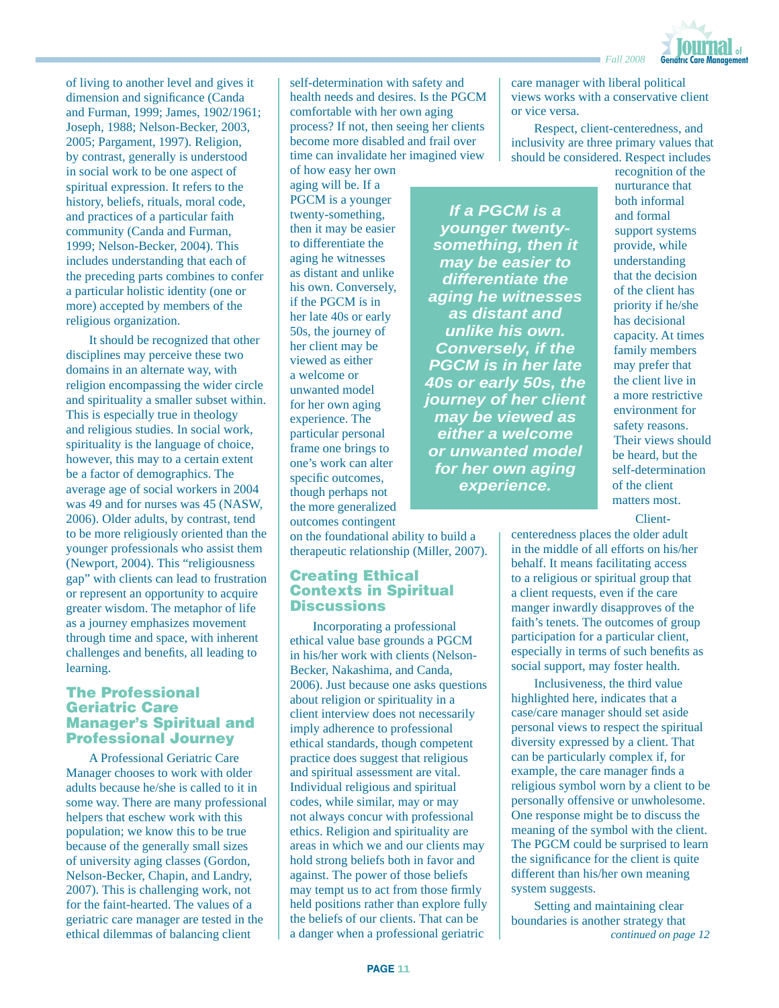

of living to another level and gives it dimension and significance (Canda and Furman, 1999; James, 1902/1961; Joseph, 1988; Nelson-Becker, 2003, 2005; Pargament, 1997). Religion, by contrast, generally is understood in social work to be one aspect of spiritual expression. It refers to the history, beliefs, rituals, moral code, and practices of a particular faith community (Canda and Furman, 1999; Nelson-Becker, 2004). This includes understanding that each of the preceding parts combines to confer a particular holistic identity (one or more) accepted by members of the religious organization.

It should be recognized that other disciplines may perceive these two domains in an alternate way, with religion encompassing the wider circle and spirituality a smaller subset within. This is especially true in theology and religious studies. In social work, spirituality is the language of choice, however, this may to a certain extent be a factor of demographics. The average age of social workers in 2004 was 49 and for nurses was 45 (NASW, 2006). Older adults, by contrast, tend to be more religiously oriented than the younger professionals who assist them (Newport, 2004). This "religiousness gap" with clients can lead to frustration or represent an opportunity to acquire greater wisdom. The metaphor of life as a journey emphasizes movement through time and space, with inherent challenges and benefits, all leading to learning.

#### The Professional Geriatric Care Manager's Spiritual and Professional Journey

A Professional Geriatric Care Manager chooses to work with older adults because he/she is called to it in some way. There are many professional helpers that eschew work with this population; we know this to be true because of the generally small sizes of university aging classes (Gordon, Nelson-Becker, Chapin, and Landry, 2007). This is challenging work, not for the faint-hearted. The values of a geriatric care manager are tested in the ethical dilemmas of balancing client a danger when a professional geriatric continued on page 12<sup>*continued on page 12*</sup>

self-determination with safety and health needs and desires. Is the PGCM comfortable with her own aging process? If not, then seeing her clients become more disabled and frail over time can invalidate her imagined view

of how easy her own aging will be. If a PGCM is a younger twenty-something, then it may be easier to differentiate the aging he witnesses as distant and unlike his own. Conversely, if the PGCM is in her late 40s or early 50s, the journey of her client may be viewed as either a welcome or unwanted model for her own aging experience. The particular personal frame one brings to one's work can alter specific outcomes. though perhaps not the more generalized outcomes contingent

on the foundational ability to build a therapeutic relationship (Miller, 2007).

#### Creating Ethical Contexts in Spiritual **Discussions**

Incorporating a professional ethical value base grounds a PGCM in his/her work with clients (Nelson-Becker, Nakashima, and Canda, 2006). Just because one asks questions about religion or spirituality in a client interview does not necessarily imply adherence to professional ethical standards, though competent practice does suggest that religious and spiritual assessment are vital. Individual religious and spiritual codes, while similar, may or may not always concur with professional ethics. Religion and spirituality are areas in which we and our clients may hold strong beliefs both in favor and against. The power of those beliefs may tempt us to act from those firmly held positions rather than explore fully the beliefs of our clients. That can be a danger when a professional geriatric

care manager with liberal political views works with a conservative client or vice versa.

Respect, client-centeredness, and inclusivity are three primary values that should be considered. Respect includes

*If a PGCM is a younger twentysomething, then it may be easier to differentiate the aging he witnesses as distant and unlike his own. Conversely, if the PGCM is in her late 40s or early 50s, the journey of her client may be viewed as either a welcome or unwanted model for her own aging experience.* 

recognition of the nurturance that both informal and formal support systems provide, while understanding that the decision of the client has priority if he/she has decisional capacity. At times family members may prefer that the client live in a more restrictive environment for safety reasons. Their views should be heard, but the self-determination of the client matters most.

Client-

centeredness places the older adult in the middle of all efforts on his/her behalf. It means facilitating access to a religious or spiritual group that a client requests, even if the care manger inwardly disapproves of the faith's tenets. The outcomes of group participation for a particular client, especially in terms of such benefits as social support, may foster health.

Inclusiveness, the third value highlighted here, indicates that a case/care manager should set aside personal views to respect the spiritual diversity expressed by a client. That can be particularly complex if, for example, the care manager finds a religious symbol worn by a client to be personally offensive or unwholesome. One response might be to discuss the meaning of the symbol with the client. The PGCM could be surprised to learn the significance for the client is quite different than his/her own meaning system suggests.

Setting and maintaining clear boundaries is another strategy that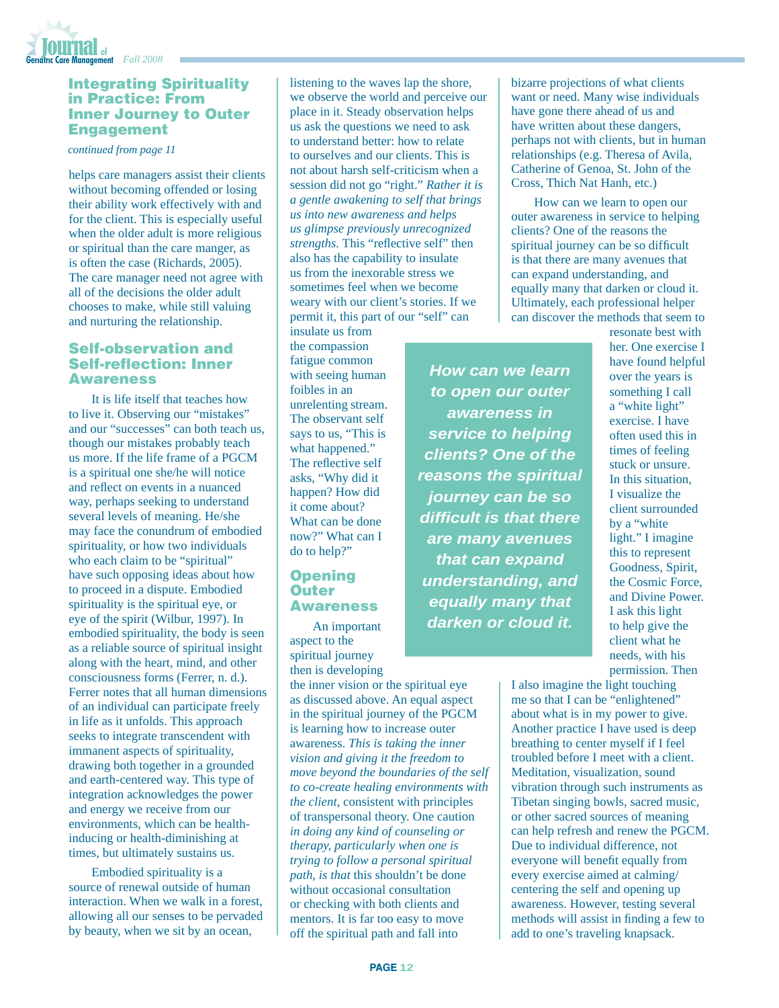

#### Integrating Spirituality in Practice: From Inner Journey to Outer Engagement

*continued from page 11*

helps care managers assist their clients without becoming offended or losing their ability work effectively with and for the client. This is especially useful when the older adult is more religious or spiritual than the care manger, as is often the case (Richards, 2005). The care manager need not agree with all of the decisions the older adult chooses to make, while still valuing and nurturing the relationship.

#### Self-observation and Self-reflection: Inner Awareness

It is life itself that teaches how to live it. Observing our "mistakes" and our "successes" can both teach us, though our mistakes probably teach us more. If the life frame of a PGCM is a spiritual one she/he will notice and reflect on events in a nuanced way, perhaps seeking to understand several levels of meaning. He/she may face the conundrum of embodied spirituality, or how two individuals who each claim to be "spiritual" have such opposing ideas about how to proceed in a dispute. Embodied spirituality is the spiritual eye, or eye of the spirit (Wilbur, 1997). In embodied spirituality, the body is seen as a reliable source of spiritual insight along with the heart, mind, and other consciousness forms (Ferrer, n. d.). Ferrer notes that all human dimensions of an individual can participate freely in life as it unfolds. This approach seeks to integrate transcendent with immanent aspects of spirituality, drawing both together in a grounded and earth-centered way. This type of integration acknowledges the power and energy we receive from our environments, which can be healthinducing or health-diminishing at times, but ultimately sustains us.

Embodied spirituality is a source of renewal outside of human interaction. When we walk in a forest, allowing all our senses to be pervaded by beauty, when we sit by an ocean,

listening to the waves lap the shore, we observe the world and perceive our place in it. Steady observation helps us ask the questions we need to ask to understand better: how to relate to ourselves and our clients. This is not about harsh self-criticism when a session did not go "right." *Rather it is a gentle awakening to self that brings us into new awareness and helps us glimpse previously unrecognized strengths*. This "reflective self" then also has the capability to insulate us from the inexorable stress we sometimes feel when we become weary with our client's stories. If we permit it, this part of our "self" can

insulate us from the compassion fatigue common with seeing human foibles in an unrelenting stream. The observant self says to us, "This is what happened." The reflective self asks, "Why did it happen? How did it come about? What can be done now?" What can I do to help?"

### **Opening Outer** Awareness

An important aspect to the spiritual journey then is developing

the inner vision or the spiritual eye as discussed above. An equal aspect in the spiritual journey of the PGCM is learning how to increase outer awareness. *This is taking the inner vision and giving it the freedom to move beyond the boundaries of the self to co-create healing environments with the client,* consistent with principles of transpersonal theory. One caution *in doing any kind of counseling or therapy, particularly when one is trying to follow a personal spiritual path, is that* this shouldn't be done without occasional consultation or checking with both clients and mentors. It is far too easy to move off the spiritual path and fall into

bizarre projections of what clients want or need. Many wise individuals have gone there ahead of us and have written about these dangers, perhaps not with clients, but in human relationships (e.g. Theresa of Avila, Catherine of Genoa, St. John of the Cross, Thich Nat Hanh, etc.)

How can we learn to open our outer awareness in service to helping clients? One of the reasons the spiritual journey can be so difficult is that there are many avenues that can expand understanding, and equally many that darken or cloud it. Ultimately, each professional helper can discover the methods that seem to

*How can we learn to open our outer awareness in service to helping clients? One of the reasons the spiritual journey can be so diffi cult is that there are many avenues that can expand understanding, and equally many that darken or cloud it.* 

resonate best with her. One exercise I have found helpful over the years is something I call a "white light" exercise. I have often used this in times of feeling stuck or unsure. In this situation, I visualize the client surrounded by a "white light." I imagine this to represent Goodness, Spirit, the Cosmic Force, and Divine Power. I ask this light to help give the client what he needs, with his permission. Then

I also imagine the light touching me so that I can be "enlightened" about what is in my power to give. Another practice I have used is deep breathing to center myself if I feel troubled before I meet with a client. Meditation, visualization, sound vibration through such instruments as Tibetan singing bowls, sacred music, or other sacred sources of meaning can help refresh and renew the PGCM. Due to individual difference, not everyone will benefit equally from every exercise aimed at calming/ centering the self and opening up awareness. However, testing several methods will assist in finding a few to add to one's traveling knapsack.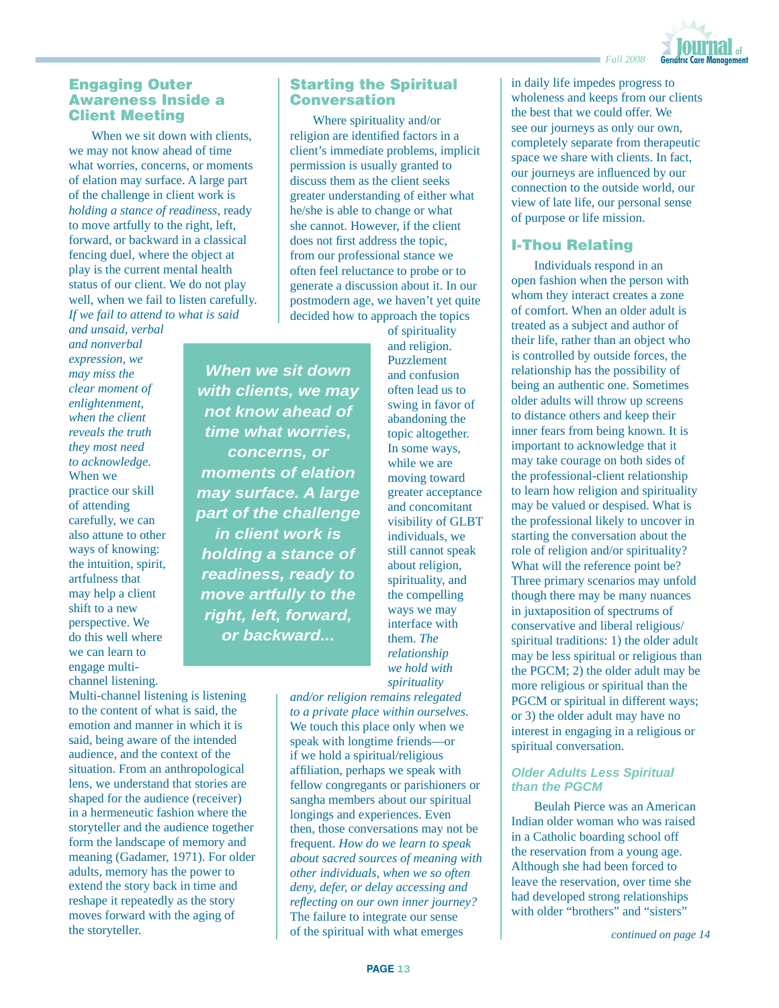

### Engaging Outer Awareness Inside a Client Meeting

When we sit down with clients, we may not know ahead of time what worries, concerns, or moments of elation may surface. A large part of the challenge in client work is *holding a stance of readiness*, ready to move artfully to the right, left, forward, or backward in a classical fencing duel, where the object at play is the current mental health status of our client. We do not play well, when we fail to listen carefully. *If we fail to attend to what is said* 

*and unsaid, verbal and nonverbal expression, we may miss the clear moment of enlightenment, when the client reveals the truth they most need to acknowledge.*  When we practice our skill of attending carefully, we can also attune to other ways of knowing: the intuition, spirit, artfulness that may help a client shift to a new perspective. We do this well where we can learn to engage multichannel listening.

Multi-channel listening is listening to the content of what is said, the emotion and manner in which it is said, being aware of the intended audience, and the context of the situation. From an anthropological lens, we understand that stories are shaped for the audience (receiver) in a hermeneutic fashion where the storyteller and the audience together form the landscape of memory and meaning (Gadamer, 1971). For older adults, memory has the power to extend the story back in time and reshape it repeatedly as the story moves forward with the aging of the storyteller.

# Starting the Spiritual **Conversation**

Where spirituality and/or religion are identified factors in a client's immediate problems, implicit permission is usually granted to discuss them as the client seeks greater understanding of either what he/she is able to change or what she cannot. However, if the client does not first address the topic, from our professional stance we often feel reluctance to probe or to generate a discussion about it. In our postmodern age, we haven't yet quite decided how to approach the topics

*When we sit down with clients, we may not know ahead of time what worries, concerns, or moments of elation may surface. A large part of the challenge in client work is holding a stance of readiness, ready to move artfully to the right, left, forward, or backward...*

of spirituality and religion. Puzzlement and confusion often lead us to swing in favor of abandoning the topic altogether. In some ways, while we are moving toward greater acceptance and concomitant visibility of GLBT individuals, we still cannot speak about religion, spirituality, and the compelling ways we may interface with them. *The relationship we hold with spirituality* 

*and/or religion remains relegated to a private place within ourselves.* We touch this place only when we speak with longtime friends—or if we hold a spiritual/religious affiliation, perhaps we speak with fellow congregants or parishioners or sangha members about our spiritual longings and experiences. Even then, those conversations may not be frequent. *How do we learn to speak about sacred sources of meaning with other individuals, when we so often deny, defer, or delay accessing and refl ecting on our own inner journey?*  The failure to integrate our sense of the spiritual with what emerges

in daily life impedes progress to wholeness and keeps from our clients the best that we could offer. We see our journeys as only our own, completely separate from therapeutic space we share with clients. In fact, our journeys are influenced by our connection to the outside world, our view of late life, our personal sense of purpose or life mission.

# I-Thou Relating

Individuals respond in an open fashion when the person with whom they interact creates a zone of comfort. When an older adult is treated as a subject and author of their life, rather than an object who is controlled by outside forces, the relationship has the possibility of being an authentic one. Sometimes older adults will throw up screens to distance others and keep their inner fears from being known. It is important to acknowledge that it may take courage on both sides of the professional-client relationship to learn how religion and spirituality may be valued or despised. What is the professional likely to uncover in starting the conversation about the role of religion and/or spirituality? What will the reference point be? Three primary scenarios may unfold though there may be many nuances in juxtaposition of spectrums of conservative and liberal religious/ spiritual traditions: 1) the older adult may be less spiritual or religious than the PGCM; 2) the older adult may be more religious or spiritual than the PGCM or spiritual in different ways; or 3) the older adult may have no interest in engaging in a religious or spiritual conversation.

#### *Older Adults Less Spiritual than the PGCM*

Beulah Pierce was an American Indian older woman who was raised in a Catholic boarding school off the reservation from a young age. Although she had been forced to leave the reservation, over time she had developed strong relationships with older "brothers" and "sisters"

*continued on page 14*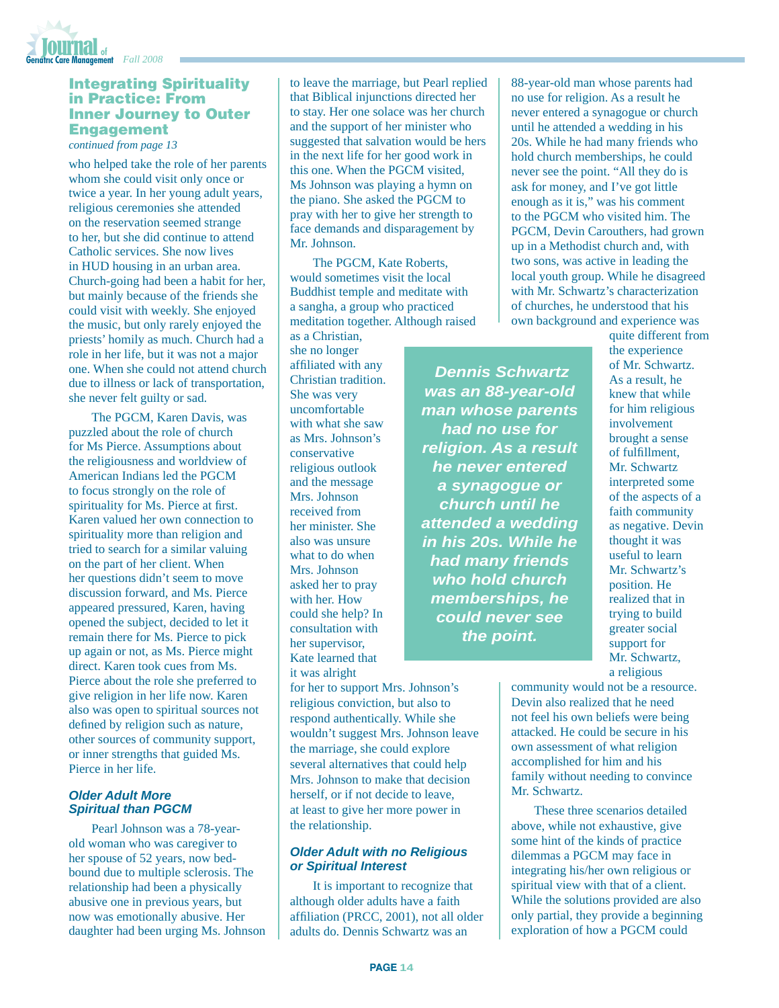

### Integrating Spirituality in Practice: From Inner Journey to Outer Engagement

*continued from page 13*

who helped take the role of her parents whom she could visit only once or twice a year. In her young adult years, religious ceremonies she attended on the reservation seemed strange to her, but she did continue to attend Catholic services. She now lives in HUD housing in an urban area. Church-going had been a habit for her, but mainly because of the friends she could visit with weekly. She enjoyed the music, but only rarely enjoyed the priests' homily as much. Church had a role in her life, but it was not a major one. When she could not attend church due to illness or lack of transportation, she never felt guilty or sad.

The PGCM, Karen Davis, was puzzled about the role of church for Ms Pierce. Assumptions about the religiousness and worldview of American Indians led the PGCM to focus strongly on the role of spirituality for Ms. Pierce at first. Karen valued her own connection to spirituality more than religion and tried to search for a similar valuing on the part of her client. When her questions didn't seem to move discussion forward, and Ms. Pierce appeared pressured, Karen, having opened the subject, decided to let it remain there for Ms. Pierce to pick up again or not, as Ms. Pierce might direct. Karen took cues from Ms. Pierce about the role she preferred to give religion in her life now. Karen also was open to spiritual sources not defined by religion such as nature, other sources of community support, or inner strengths that guided Ms. Pierce in her life.

#### *Older Adult More Spiritual than PGCM*

Pearl Johnson was a 78-yearold woman who was caregiver to her spouse of 52 years, now bedbound due to multiple sclerosis. The relationship had been a physically abusive one in previous years, but now was emotionally abusive. Her daughter had been urging Ms. Johnson to leave the marriage, but Pearl replied that Biblical injunctions directed her to stay. Her one solace was her church and the support of her minister who suggested that salvation would be hers in the next life for her good work in this one. When the PGCM visited, Ms Johnson was playing a hymn on the piano. She asked the PGCM to pray with her to give her strength to face demands and disparagement by Mr. Johnson.

The PGCM, Kate Roberts, would sometimes visit the local Buddhist temple and meditate with a sangha, a group who practiced meditation together. Although raised

 *Dennis Schwartz* 

*had no use for* 

*he never entered a synagogue or church until he* 

*had many friends who hold church memberships, he could never see the point.*

as a Christian, she no longer affiliated with any Christian tradition. She was very uncomfortable with what she saw as Mrs. Johnson's conservative religious outlook and the message Mrs. Johnson received from her minister. She also was unsure what to do when Mrs. Johnson asked her to pray with her. How could she help? In consultation with her supervisor, Kate learned that it was alright

for her to support Mrs. Johnson's religious conviction, but also to respond authentically. While she wouldn't suggest Mrs. Johnson leave the marriage, she could explore several alternatives that could help Mrs. Johnson to make that decision herself, or if not decide to leave, at least to give her more power in the relationship.

### *Older Adult with no Religious or Spiritual Interest*

It is important to recognize that although older adults have a faith affiliation (PRCC, 2001), not all older adults do. Dennis Schwartz was an

88-year-old man whose parents had no use for religion. As a result he never entered a synagogue or church until he attended a wedding in his 20s. While he had many friends who hold church memberships, he could never see the point. "All they do is ask for money, and I've got little enough as it is," was his comment to the PGCM who visited him. The PGCM, Devin Carouthers, had grown up in a Methodist church and, with two sons, was active in leading the local youth group. While he disagreed with Mr. Schwartz's characterization of churches, he understood that his own background and experience was

quite different from the experience of Mr. Schwartz. As a result, he knew that while for him religious involvement brought a sense of fulfillment, Mr. Schwartz interpreted some of the aspects of a faith community as negative. Devin thought it was useful to learn Mr. Schwartz's position. He realized that in trying to build greater social support for Mr. Schwartz, a religious *was an 88-year-old man whose parents religion. As a result attended a wedding in his 20s. While he* 

community would not be a resource. Devin also realized that he need not feel his own beliefs were being attacked. He could be secure in his own assessment of what religion accomplished for him and his family without needing to convince Mr. Schwartz.

These three scenarios detailed above, while not exhaustive, give some hint of the kinds of practice dilemmas a PGCM may face in integrating his/her own religious or spiritual view with that of a client. While the solutions provided are also only partial, they provide a beginning exploration of how a PGCM could